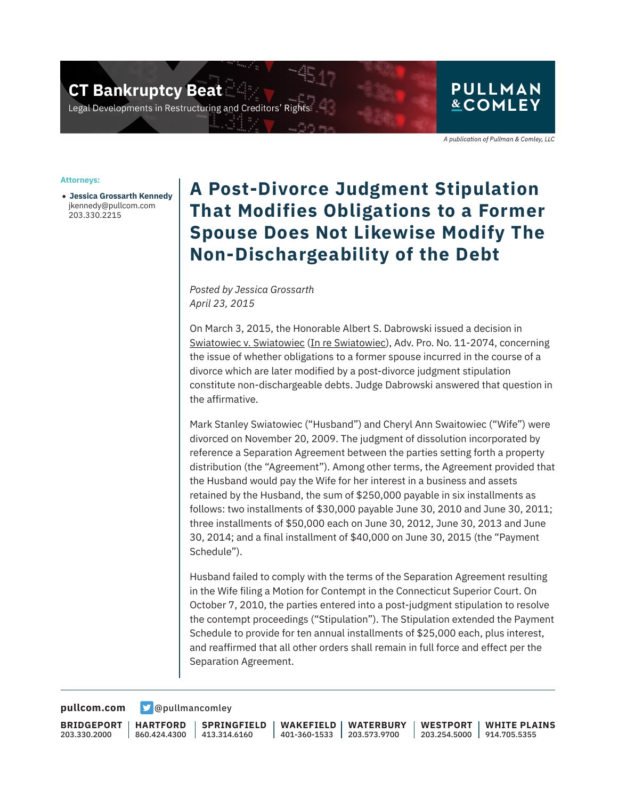**CT Bankruptcy Beat** 

Legal Developments in Restructuring and Creditors' Rigi

## **PULLMAN &COMLEY**

A publication of Pullman & Comley, LLC

#### **Attorneys:**

● **Jessica Grossarth Kennedy** jkennedy@pullcom.com 203.330.2215

## **A Post-Divorce Judgment Stipulation That Modifies Obligations to a Former Spouse Does Not Likewise Modify The Non-Dischargeability of the Debt**

*Posted by Jessica Grossarth April 23, 2015*

On March 3, 2015, the Honorable Albert S. Dabrowski issued a decision in Swiatowiec v. Swiatowiec (In re Swiatowiec), Adv. Pro. No. 11-2074, concerning the issue of whether obligations to a former spouse incurred in the course of a divorce which are later modified by a post-divorce judgment stipulation constitute non-dischargeable debts. Judge Dabrowski answered that question in the affirmative.

Mark Stanley Swiatowiec ("Husband") and Cheryl Ann Swaitowiec ("Wife") were divorced on November 20, 2009. The judgment of dissolution incorporated by reference a Separation Agreement between the parties setting forth a property distribution (the "Agreement"). Among other terms, the Agreement provided that the Husband would pay the Wife for her interest in a business and assets retained by the Husband, the sum of \$250,000 payable in six installments as follows: two installments of \$30,000 payable June 30, 2010 and June 30, 2011; three installments of \$50,000 each on June 30, 2012, June 30, 2013 and June 30, 2014; and a final installment of \$40,000 on June 30, 2015 (the "Payment Schedule").

Husband failed to comply with the terms of the Separation Agreement resulting in the Wife filing a Motion for Contempt in the Connecticut Superior Court. On October 7, 2010, the parties entered into a post-judgment stipulation to resolve the contempt proceedings ("Stipulation"). The Stipulation extended the Payment Schedule to provide for ten annual installments of \$25,000 each, plus interest, and reaffirmed that all other orders shall remain in full force and effect per the Separation Agreement.

**[pullcom.com](https://www.pullcom.com) g** [@pullmancomley](https://twitter.com/PullmanComley)

**BRIDGEPORT** 203.330.2000

**HARTFORD** 860.424.4300

**SPRINGFIELD**  $1413.314.6160$ 

**WAKEFIELD** 401-360-1533 **WATERBURY** 203.573.9700

**WESTPORT** 203.254.5000 914.705.5355 **WHITE PLAINS**